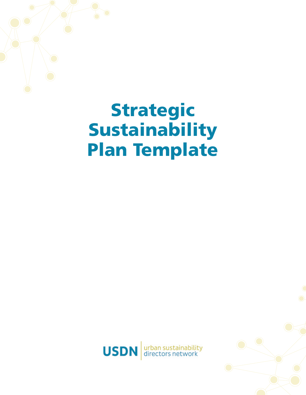



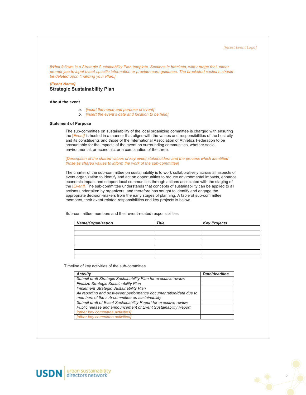*[Insert Event Logo]*

*[What follows is a Strategic Sustainability Plan template. Sections in brackets, with orange font, either prompt you to input event-specific information or provide more guidance. The bracketed sections should be deleted upon finalizing your Plan.]* 

*[Event Name]*  **Strategic Sustainability Plan**

## **About the event**

- *a. [insert the name and purpose of event]*
- *b. [insert the event's date and location to be held]*

### **Statement of Purpose**

The sub-committee on sustainability of the local organizing committee is charged with ensuring the [*Event]* is hosted in a manner that aligns with the values and responsibilities of the host city and its constituents and those of the International Association of Athletics Federation to be accountable for the impacts of the event on surrounding communities, whether social, environmental, or economic, or a combination of the three.

[*Description of the shared values of key event stakeholders and the process which identified those as shared values to inform the work of the sub-committee*]

The charter of the sub-committee on sustainability is to work collaboratively across all aspects of event organization to identify and act on opportunities to reduce environmental impacts, enhance economic impact and support local communities through actions associated with the staging of the [*Event].* The sub-committee understands that concepts of sustainability can be applied to all actions undertaken by organizers, and therefore has sought to identify and engage the appropriate decision-makers from the early stages of planning. A table of sub-committee members, their event-related responsibilities and key projects is below.

Sub-committee members and their event-related responsibilities

| <b>Name/Organization</b> | <b>Title</b> | <b>Key Projects</b> |
|--------------------------|--------------|---------------------|
|                          |              |                     |
|                          |              |                     |
|                          |              |                     |
|                          |              |                     |
|                          |              |                     |
|                          |              |                     |
|                          |              |                     |

Timeline of key activities of the sub-committee

| <b>Activity</b>                                                    | Date/deadline |
|--------------------------------------------------------------------|---------------|
| Submit draft Strategic Sustainability Plan for executive review    |               |
| Finalize Strategic Sustainability Plan                             |               |
| <b>Implement Strategic Sustainability Plan</b>                     |               |
| All reporting and post-event performance documentation/data due to |               |
| members of the sub-committee on sustainability                     |               |
| Submit draft of Event Sustainability Report for executive review   |               |
| Public release and announcement of Event Sustainability Report     |               |
| [other key committee activities]                                   |               |
| <b>Tother key committee activities</b>                             |               |

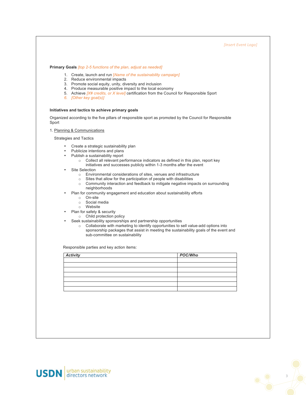**Primary Goals** *[top 2-5 functions of the plan, adjust as needed]*

- 1. Create, launch and run [*Name of the sustainability campaign]*
- 2. Reduce environmental impacts
- 3. Promote social equity, unity, diversity and inclusion
- 4. Produce measurable positive impact to the local economy
- 5. Achieve *[X# credits, or X level]* certification from the Council for Responsible Sport
- *6. [Other key goal(s)]*

## **Initiatives and tactics to achieve primary goals**

Organized according to the five pillars of responsible sport as promoted by the Council for Responsible Sport

1. Planning & Communications

Strategies and Tactics

- Create a strategic sustainability plan
- Publicize intentions and plans
- Publish a sustainability report
	- o Collect all relevant performance indicators as defined in this plan, report key initiatives and successes publicly within 1-3 months after the event
- Site Selection
	- $\circ$  Environmental considerations of sites, venues and infrastructure  $\circ$  Sites that allow for the participation of people with disabilities
	- Sites that allow for the participation of people with disabilities
	- o Community interaction and feedback to mitigate negative impacts on surrounding neighborhoods
- Plan for community engagement and education about sustainability efforts
	- o On-site
	- o Social media
	- o Website
	- Plan for safety & security
	- o Child protection policy
	- Seek sustainability sponsorships and partnership opportunities
		- o Collaborate with marketing to identify opportunities to sell value-add options into sponsorship packages that assist in meeting the sustainability goals of the event and sub-committee on sustainability

Responsible parties and key action items:

| <b>Activity</b> | POC/Who |
|-----------------|---------|
|                 |         |
|                 |         |
|                 |         |
|                 |         |
|                 |         |
|                 |         |
|                 |         |



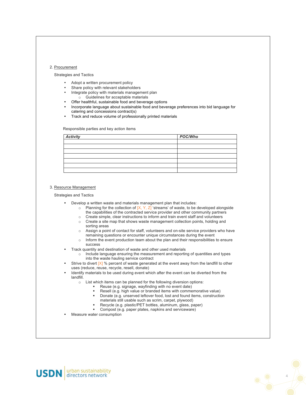### 2. Procurement

Strategies and Tactics

- Adopt a written procurement policy
- Share policy with relevant stakeholders
- Integrate policy with materials management plan o Guidelines for acceptable materials
- Offer healthful, sustainable food and beverage options
- Incorporate language about sustainable food and beverage preferences into bid language for catering and concessions contract(s)
- Track and reduce volume of professionally printed materials

Responsible parties and key action items

| <b>Activity</b> | POC/Who |
|-----------------|---------|
|                 |         |
|                 |         |
|                 |         |
|                 |         |
|                 |         |
|                 |         |
|                 |         |

#### 3. Resource Management

Strategies and Tactics

- Develop a written waste and materials management plan that includes:
	- o Planning for the collection of  $[X, Y, Z]$  'streams' of waste, to be developed alongside the capabilities of the contracted service provider and other community partners
	- o Create simple, clear instructions to inform and train event staff and volunteers
	- o Create a site map that shows waste management collection points, holding and sorting areas
	- o Assign a point of contact for staff, volunteers and on-site service providers who have remaining questions or encounter unique circumstances during the event
	- $\circ$  Inform the event production team about the plan and their responsibilities to ensure success
- Track quantity and destination of waste and other used materials
	- o Include language ensuring the measurement and reporting of quantities and types into the waste hauling service contract
- Strive to divert  $[X]$  % percent of waste generated at the event away from the landfill to other uses (reduce, reuse, recycle, resell, donate)
- Identify materials to be used during event which after the event can be diverted from the landfill.
	- o List which items can be planned for the following diversion options:
		- § Reuse (e.g. signage, wayfinding with no event date)
		- Resell (e.g. high value or branded items with commemorative value)
		- § Donate (e.g. unserved leftover food, lost and found items, construction materials still usable such as scrim, carpet, plywood)

4

- § Recycle (e.g. plastic/PET bottles, aluminum, glass, paper)
- § Compost (e.g. paper plates, napkins and serviceware)
- Measure water consumption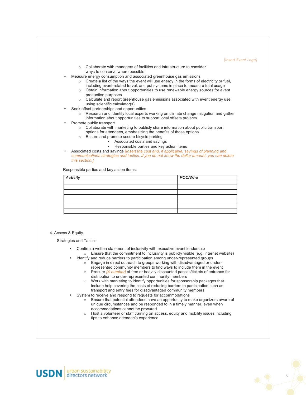#### *[Insert Event Logo]*

- $\circ$  Collaborate with managers of facilities and infrastructure to consider  $\cdot$ ways to conserve where possible
- Measure energy consumption and associated greenhouse gas emissions
	- o Create a list of the ways the event will use energy in the forms of electricity or fuel, including event-related travel, and put systems in place to measure total usage
	- o Obtain information about opportunities to use renewable energy sources for event production purposes
	- o Calculate and report greenhouse gas emissions associated with event energy use using scientific calculator(s)
- Seek offset partnerships and opportunities
	- o Research and identify local experts working on climate change mitigation and gather information about opportunities to support local offsets projects
- Promote public transport
	- o Collaborate with marketing to publicly share information about public transport
	- options for attendees, emphasizing the benefits of those options
	- o Ensure and promote secure bicycle parking
		- Associated costs and savings
		- Responsible parties and key action items
- Associated costs and savings [*Insert the cost and, if applicable, savings of planning and communications strategies and tactics. If you do not know the dollar amount, you can delete this section.]*

Responsible parties and key action items:

| <b>Activity</b> | POC/Who |
|-----------------|---------|
|                 |         |
|                 |         |
|                 |         |
|                 |         |
|                 |         |
|                 |         |
|                 |         |

### 4. Access & Equity

Strategies and Tactics

- Confirm a written statement of inclusivity with executive event leadership o Ensure that the commitment to inclusivity is publicly visible (e.g. internet website)
	- Identify and reduce barriers to participation among under-represented groups o Engage in direct outreach to groups working with disadvantaged or underrepresented community members to find ways to include them in the event
		- o Procure *[X number]* of free or heavily discounted passes/tickets of entrance for distribution to under-represented community members
		- o Work with marketing to identify opportunities for sponsorship packages that include help covering the costs of reducing barriers to participation such as transport and entry fees for disadvantaged community members
- System to receive and respond to requests for accommodations
	- $\circ$  Ensure that potential attendees have an opportunity to make organizers aware of unique circumstances and be responded to in a timely manner, even when accommodations cannot be procured
	- o Host a volunteer or staff training on access, equity and mobility issues including tips to enhance attendee's experience